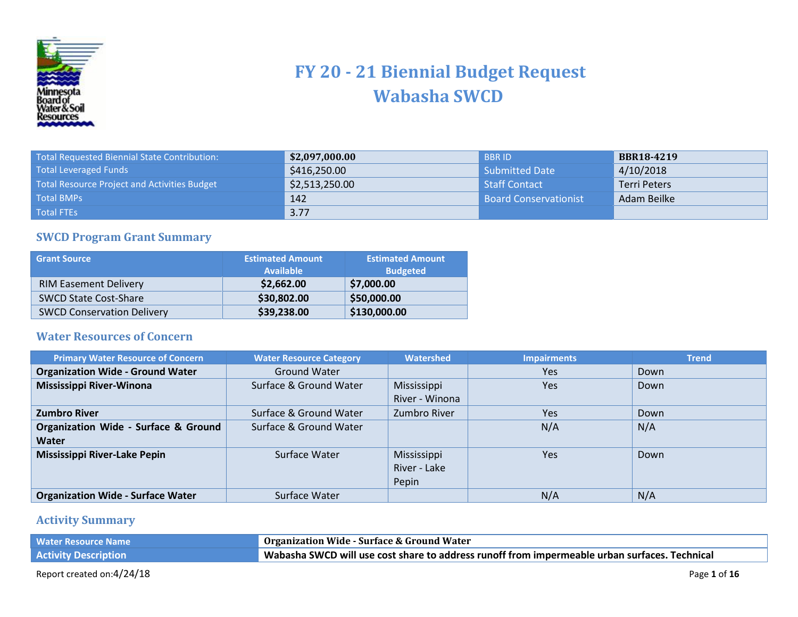

## **FY 20 - 21 Biennial Budget Request Wabasha SWCD**

| Total Requested Biennial State Contribution:        | \$2,097,000.00 | <b>BBRID</b>                 | <b>BBR18-4219</b>   |
|-----------------------------------------------------|----------------|------------------------------|---------------------|
| <b>Total Leveraged Funds</b>                        | \$416,250.00   | <b>Submitted Date</b>        | 4/10/2018           |
| <b>Total Resource Project and Activities Budget</b> | \$2,513,250.00 | Staff Contact                | <b>Terri Peters</b> |
| <b>Total BMPs</b>                                   | 142            | <b>Board Conservationist</b> | Adam Beilke         |
| <b>Total FTEs</b>                                   | 3.77           |                              |                     |

## **SWCD Program Grant Summary**

| <b>Grant Source</b>               | __<br><b>Estimated Amount</b><br><b>Available</b> | <b>Estimated Amount</b><br><b>Budgeted</b> |
|-----------------------------------|---------------------------------------------------|--------------------------------------------|
| <b>RIM Easement Delivery</b>      | \$2,662.00                                        | \$7,000.00                                 |
| <b>SWCD State Cost-Share</b>      | \$30,802.00                                       | \$50,000.00                                |
| <b>SWCD Conservation Delivery</b> | \$39,238.00                                       | \$130,000.00                               |

## **Water Resources of Concern**

| <b>Primary Water Resource of Concern</b>        | <b>Water Resource Category</b> | Watershed      | <b>Impairments</b> | <b>Trend</b> |
|-------------------------------------------------|--------------------------------|----------------|--------------------|--------------|
| <b>Organization Wide - Ground Water</b>         | <b>Ground Water</b>            |                | Yes                | Down         |
| Mississippi River-Winona                        | Surface & Ground Water         | Mississippi    | Yes                | Down         |
|                                                 |                                | River - Winona |                    |              |
| <b>Zumbro River</b>                             | Surface & Ground Water         | Zumbro River   | Yes                | Down         |
| <b>Organization Wide - Surface &amp; Ground</b> | Surface & Ground Water         |                | N/A                | N/A          |
| Water                                           |                                |                |                    |              |
| <b>Mississippi River-Lake Pepin</b>             | Surface Water                  | Mississippi    | Yes                | Down         |
|                                                 |                                | River - Lake   |                    |              |
|                                                 |                                | Pepin          |                    |              |
| <b>Organization Wide - Surface Water</b>        | Surface Water                  |                | N/A                | N/A          |

## **Activity Summary**

| <b>Water Resource Name</b>  | Organization Wide - Surface & Ground Water                                                                |
|-----------------------------|-----------------------------------------------------------------------------------------------------------|
| <b>Activity Description</b> | $^{\prime}$ Wabasha SWCD will use cost share to address runoff from impermeable urban surfaces. Technical |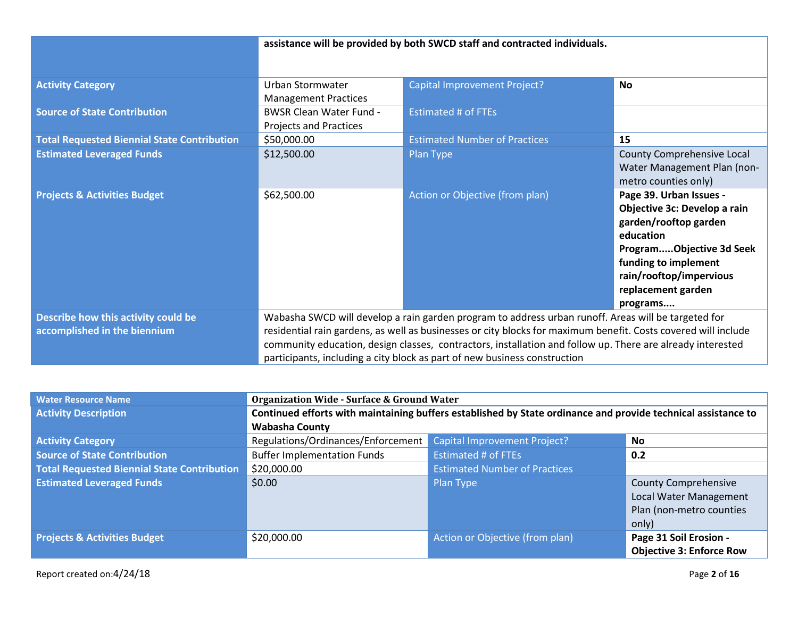|                                                                     | assistance will be provided by both SWCD staff and contracted individuals.                                                                                                                                                                                                                                                                                                                                       |                                      |                                                                                                                                                                                                                |
|---------------------------------------------------------------------|------------------------------------------------------------------------------------------------------------------------------------------------------------------------------------------------------------------------------------------------------------------------------------------------------------------------------------------------------------------------------------------------------------------|--------------------------------------|----------------------------------------------------------------------------------------------------------------------------------------------------------------------------------------------------------------|
| <b>Activity Category</b>                                            | Urban Stormwater<br><b>Management Practices</b>                                                                                                                                                                                                                                                                                                                                                                  | Capital Improvement Project?         | <b>No</b>                                                                                                                                                                                                      |
| <b>Source of State Contribution</b>                                 | <b>BWSR Clean Water Fund -</b><br><b>Projects and Practices</b>                                                                                                                                                                                                                                                                                                                                                  | <b>Estimated # of FTEs</b>           |                                                                                                                                                                                                                |
| <b>Total Requested Biennial State Contribution</b>                  | \$50,000.00                                                                                                                                                                                                                                                                                                                                                                                                      | <b>Estimated Number of Practices</b> | 15                                                                                                                                                                                                             |
| <b>Estimated Leveraged Funds</b>                                    | \$12,500.00                                                                                                                                                                                                                                                                                                                                                                                                      | Plan Type                            | County Comprehensive Local<br>Water Management Plan (non-<br>metro counties only)                                                                                                                              |
| <b>Projects &amp; Activities Budget</b>                             | \$62,500.00                                                                                                                                                                                                                                                                                                                                                                                                      | Action or Objective (from plan)      | Page 39. Urban Issues -<br>Objective 3c: Develop a rain<br>garden/rooftop garden<br>education<br>ProgramObjective 3d Seek<br>funding to implement<br>rain/rooftop/impervious<br>replacement garden<br>programs |
| Describe how this activity could be<br>accomplished in the biennium | Wabasha SWCD will develop a rain garden program to address urban runoff. Areas will be targeted for<br>residential rain gardens, as well as businesses or city blocks for maximum benefit. Costs covered will include<br>community education, design classes, contractors, installation and follow up. There are already interested<br>participants, including a city block as part of new business construction |                                      |                                                                                                                                                                                                                |

| <b>Water Resource Name</b>                         | <b>Organization Wide - Surface &amp; Ground Water</b>                                                         |                                      |                                 |
|----------------------------------------------------|---------------------------------------------------------------------------------------------------------------|--------------------------------------|---------------------------------|
| <b>Activity Description</b>                        | Continued efforts with maintaining buffers established by State ordinance and provide technical assistance to |                                      |                                 |
|                                                    | <b>Wabasha County</b>                                                                                         |                                      |                                 |
| <b>Activity Category</b>                           | Regulations/Ordinances/Enforcement                                                                            | Capital Improvement Project?         | <b>No</b>                       |
| <b>Source of State Contribution</b>                | <b>Buffer Implementation Funds</b>                                                                            | Estimated # of FTEs                  | 0.2                             |
| <b>Total Requested Biennial State Contribution</b> | \$20,000.00                                                                                                   | <b>Estimated Number of Practices</b> |                                 |
| <b>Estimated Leveraged Funds</b>                   | \$0.00                                                                                                        | Plan Type                            | <b>County Comprehensive</b>     |
|                                                    |                                                                                                               |                                      | <b>Local Water Management</b>   |
|                                                    |                                                                                                               |                                      | Plan (non-metro counties        |
|                                                    |                                                                                                               |                                      | only)                           |
| <b>Projects &amp; Activities Budget</b>            | \$20,000.00                                                                                                   | Action or Objective (from plan)      | Page 31 Soil Erosion -          |
|                                                    |                                                                                                               |                                      | <b>Objective 3: Enforce Row</b> |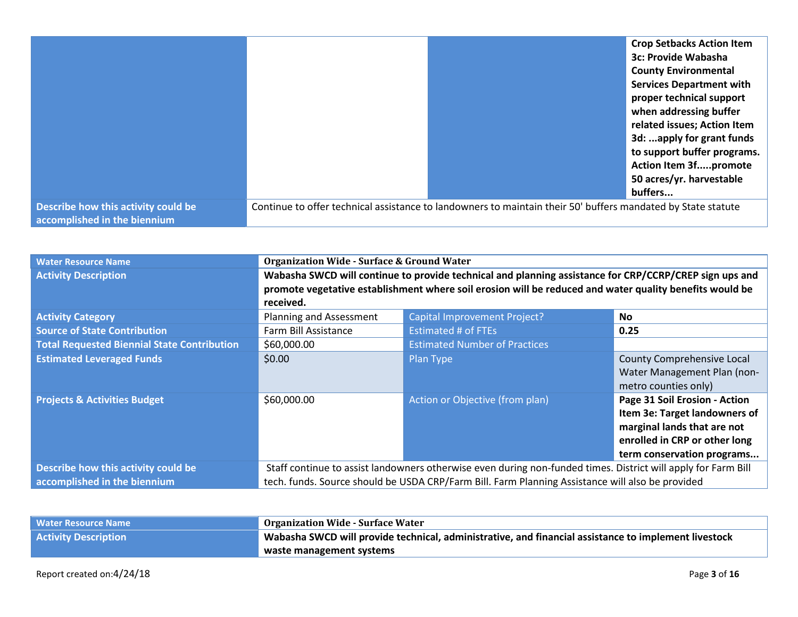|                                                                     | <b>Crop Setbacks Action Item</b>                                                                             |
|---------------------------------------------------------------------|--------------------------------------------------------------------------------------------------------------|
|                                                                     | <b>3c: Provide Wabasha</b>                                                                                   |
|                                                                     | <b>County Environmental</b>                                                                                  |
|                                                                     | <b>Services Department with</b>                                                                              |
|                                                                     | proper technical support                                                                                     |
|                                                                     | when addressing buffer                                                                                       |
|                                                                     | related issues; Action Item                                                                                  |
|                                                                     | 3d: apply for grant funds                                                                                    |
|                                                                     | to support buffer programs.                                                                                  |
|                                                                     | <b>Action Item 3fpromote</b>                                                                                 |
|                                                                     | 50 acres/yr. harvestable                                                                                     |
|                                                                     | buffers                                                                                                      |
| Describe how this activity could be<br>accomplished in the biennium | Continue to offer technical assistance to landowners to maintain their 50' buffers mandated by State statute |

| <b>Water Resource Name</b>                         | <b>Organization Wide - Surface &amp; Ground Water</b>                                                         |                                      |                                                                                                                                                              |
|----------------------------------------------------|---------------------------------------------------------------------------------------------------------------|--------------------------------------|--------------------------------------------------------------------------------------------------------------------------------------------------------------|
| <b>Activity Description</b>                        | Wabasha SWCD will continue to provide technical and planning assistance for CRP/CCRP/CREP sign ups and        |                                      |                                                                                                                                                              |
|                                                    | promote vegetative establishment where soil erosion will be reduced and water quality benefits would be       |                                      |                                                                                                                                                              |
|                                                    | received.                                                                                                     |                                      |                                                                                                                                                              |
| <b>Activity Category</b>                           | Planning and Assessment                                                                                       | <b>Capital Improvement Project?</b>  | No.                                                                                                                                                          |
| <b>Source of State Contribution</b>                | Farm Bill Assistance                                                                                          | <b>Estimated # of FTEs</b>           | 0.25                                                                                                                                                         |
| <b>Total Requested Biennial State Contribution</b> | \$60,000.00                                                                                                   | <b>Estimated Number of Practices</b> |                                                                                                                                                              |
| <b>Estimated Leveraged Funds</b>                   | \$0.00                                                                                                        | Plan Type                            | <b>County Comprehensive Local</b><br>Water Management Plan (non-<br>metro counties only)                                                                     |
| <b>Projects &amp; Activities Budget</b>            | \$60,000.00                                                                                                   | Action or Objective (from plan)      | Page 31 Soil Erosion - Action<br>Item 3e: Target landowners of<br>marginal lands that are not<br>enrolled in CRP or other long<br>term conservation programs |
| Describe how this activity could be                | Staff continue to assist landowners otherwise even during non-funded times. District will apply for Farm Bill |                                      |                                                                                                                                                              |
| accomplished in the biennium                       | tech. funds. Source should be USDA CRP/Farm Bill. Farm Planning Assistance will also be provided              |                                      |                                                                                                                                                              |

| <b>Water Resource Name</b>  | <b>Organization Wide - Surface Water</b>                                                                         |
|-----------------------------|------------------------------------------------------------------------------------------------------------------|
| <b>Activity Description</b> | $^{\prime}$ Wabasha SWCD will provide technical, administrative, and financial assistance to implement livestock |
|                             | waste management systems                                                                                         |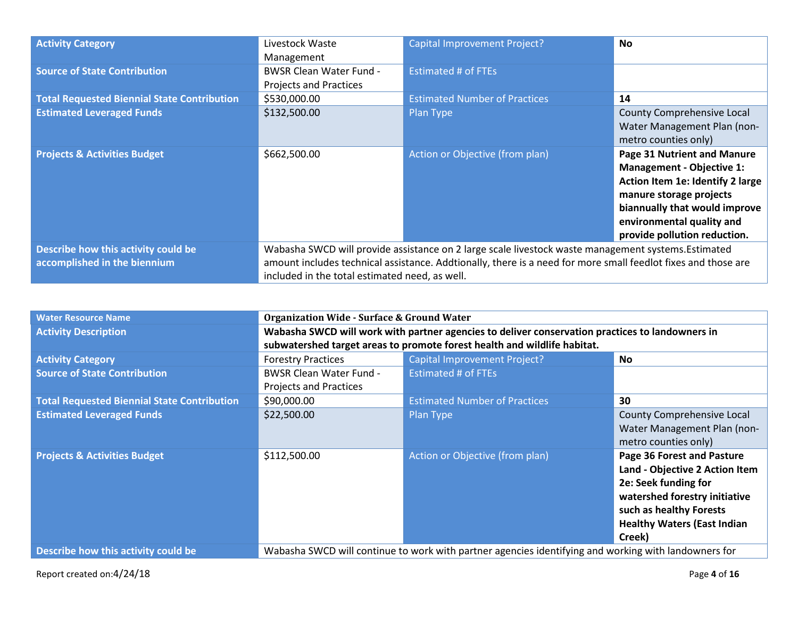| <b>Activity Category</b>                           | Livestock Waste                                                                                     | Capital Improvement Project?                                                                                  | <b>No</b>                        |
|----------------------------------------------------|-----------------------------------------------------------------------------------------------------|---------------------------------------------------------------------------------------------------------------|----------------------------------|
|                                                    | Management                                                                                          |                                                                                                               |                                  |
| <b>Source of State Contribution</b>                | <b>BWSR Clean Water Fund -</b>                                                                      | <b>Estimated # of FTEs</b>                                                                                    |                                  |
|                                                    | <b>Projects and Practices</b>                                                                       |                                                                                                               |                                  |
| <b>Total Requested Biennial State Contribution</b> | \$530,000.00                                                                                        | <b>Estimated Number of Practices</b>                                                                          | 14                               |
| <b>Estimated Leveraged Funds</b>                   | \$132,500.00                                                                                        | Plan Type                                                                                                     | County Comprehensive Local       |
|                                                    |                                                                                                     |                                                                                                               | Water Management Plan (non-      |
|                                                    |                                                                                                     |                                                                                                               | metro counties only)             |
| <b>Projects &amp; Activities Budget</b>            | \$662,500.00                                                                                        | Action or Objective (from plan)                                                                               | Page 31 Nutrient and Manure      |
|                                                    |                                                                                                     |                                                                                                               | <b>Management - Objective 1:</b> |
|                                                    |                                                                                                     |                                                                                                               | Action Item 1e: Identify 2 large |
|                                                    |                                                                                                     |                                                                                                               | manure storage projects          |
|                                                    |                                                                                                     |                                                                                                               | biannually that would improve    |
|                                                    |                                                                                                     |                                                                                                               | environmental quality and        |
|                                                    |                                                                                                     |                                                                                                               | provide pollution reduction.     |
| Describe how this activity could be                | Wabasha SWCD will provide assistance on 2 large scale livestock waste management systems. Estimated |                                                                                                               |                                  |
| accomplished in the biennium                       |                                                                                                     | amount includes technical assistance. Addtionally, there is a need for more small feedlot fixes and those are |                                  |
|                                                    | included in the total estimated need, as well.                                                      |                                                                                                               |                                  |

| <b>Water Resource Name</b>                         | <b>Organization Wide - Surface &amp; Ground Water</b>                                                |                                                                          |                                    |
|----------------------------------------------------|------------------------------------------------------------------------------------------------------|--------------------------------------------------------------------------|------------------------------------|
| <b>Activity Description</b>                        | Wabasha SWCD will work with partner agencies to deliver conservation practices to landowners in      |                                                                          |                                    |
|                                                    |                                                                                                      | subwatershed target areas to promote forest health and wildlife habitat. |                                    |
| <b>Activity Category</b>                           | <b>Forestry Practices</b>                                                                            | <b>Capital Improvement Project?</b>                                      | No.                                |
| <b>Source of State Contribution</b>                | <b>BWSR Clean Water Fund -</b>                                                                       | <b>Estimated # of FTEs</b>                                               |                                    |
|                                                    | <b>Projects and Practices</b>                                                                        |                                                                          |                                    |
| <b>Total Requested Biennial State Contribution</b> | \$90,000.00                                                                                          | <b>Estimated Number of Practices</b>                                     | 30                                 |
| <b>Estimated Leveraged Funds</b>                   | \$22,500.00                                                                                          | Plan Type                                                                | County Comprehensive Local         |
|                                                    |                                                                                                      |                                                                          | Water Management Plan (non-        |
|                                                    |                                                                                                      |                                                                          | metro counties only)               |
| <b>Projects &amp; Activities Budget</b>            | \$112,500.00                                                                                         | Action or Objective (from plan)                                          | Page 36 Forest and Pasture         |
|                                                    |                                                                                                      |                                                                          | Land - Objective 2 Action Item     |
|                                                    |                                                                                                      |                                                                          | 2e: Seek funding for               |
|                                                    |                                                                                                      |                                                                          | watershed forestry initiative      |
|                                                    |                                                                                                      |                                                                          | such as healthy Forests            |
|                                                    |                                                                                                      |                                                                          | <b>Healthy Waters (East Indian</b> |
|                                                    |                                                                                                      |                                                                          | Creek)                             |
| Describe how this activity could be                | Wabasha SWCD will continue to work with partner agencies identifying and working with landowners for |                                                                          |                                    |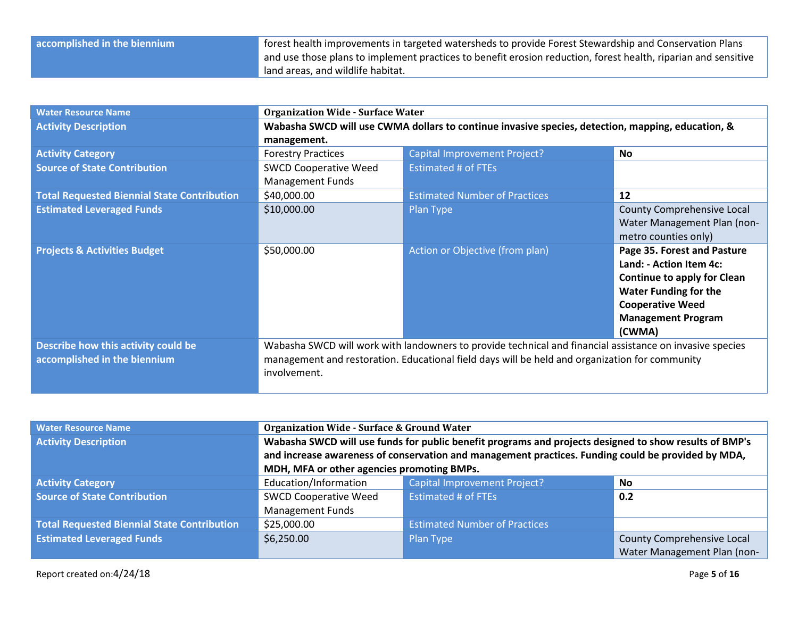| accomplished in the biennium | Torest health improvements in targeted watersheds to provide Forest Stewardship and Conservation Plans         |
|------------------------------|----------------------------------------------------------------------------------------------------------------|
|                              | and use those plans to implement practices to benefit erosion reduction, forest health, riparian and sensitive |
|                              | land areas, and wildlife habitat.                                                                              |

| <b>Water Resource Name</b>                         | <b>Organization Wide - Surface Water</b>                                                          |                                                                                                          |                                    |
|----------------------------------------------------|---------------------------------------------------------------------------------------------------|----------------------------------------------------------------------------------------------------------|------------------------------------|
| <b>Activity Description</b>                        | Wabasha SWCD will use CWMA dollars to continue invasive species, detection, mapping, education, & |                                                                                                          |                                    |
|                                                    | management.                                                                                       |                                                                                                          |                                    |
| <b>Activity Category</b>                           | <b>Forestry Practices</b>                                                                         | <b>Capital Improvement Project?</b>                                                                      | No                                 |
| <b>Source of State Contribution</b>                | <b>SWCD Cooperative Weed</b>                                                                      | <b>Estimated # of FTEs</b>                                                                               |                                    |
|                                                    | <b>Management Funds</b>                                                                           |                                                                                                          |                                    |
| <b>Total Requested Biennial State Contribution</b> | \$40,000.00                                                                                       | <b>Estimated Number of Practices</b>                                                                     | 12                                 |
| <b>Estimated Leveraged Funds</b>                   | \$10,000.00                                                                                       | Plan Type                                                                                                | County Comprehensive Local         |
|                                                    |                                                                                                   |                                                                                                          | Water Management Plan (non-        |
|                                                    |                                                                                                   |                                                                                                          | metro counties only)               |
| <b>Projects &amp; Activities Budget</b>            | \$50,000.00                                                                                       | Action or Objective (from plan)                                                                          | Page 35. Forest and Pasture        |
|                                                    |                                                                                                   |                                                                                                          | Land: - Action Item 4c:            |
|                                                    |                                                                                                   |                                                                                                          | <b>Continue to apply for Clean</b> |
|                                                    |                                                                                                   |                                                                                                          | <b>Water Funding for the</b>       |
|                                                    |                                                                                                   |                                                                                                          | <b>Cooperative Weed</b>            |
|                                                    |                                                                                                   |                                                                                                          | <b>Management Program</b>          |
|                                                    |                                                                                                   |                                                                                                          | (CWMA)                             |
| Describe how this activity could be                |                                                                                                   | Wabasha SWCD will work with landowners to provide technical and financial assistance on invasive species |                                    |
| accomplished in the biennium                       | management and restoration. Educational field days will be held and organization for community    |                                                                                                          |                                    |
|                                                    | involvement.                                                                                      |                                                                                                          |                                    |
|                                                    |                                                                                                   |                                                                                                          |                                    |

| <b>Water Resource Name</b>                         | <b>Organization Wide - Surface &amp; Ground Water</b>                                                  |                                                                                                    |                             |
|----------------------------------------------------|--------------------------------------------------------------------------------------------------------|----------------------------------------------------------------------------------------------------|-----------------------------|
| <b>Activity Description</b>                        | Wabasha SWCD will use funds for public benefit programs and projects designed to show results of BMP's |                                                                                                    |                             |
|                                                    |                                                                                                        | and increase awareness of conservation and management practices. Funding could be provided by MDA, |                             |
|                                                    | MDH, MFA or other agencies promoting BMPs.                                                             |                                                                                                    |                             |
| <b>Activity Category</b>                           | Education/Information                                                                                  | <b>Capital Improvement Project?</b>                                                                | No                          |
| <b>Source of State Contribution</b>                | <b>SWCD Cooperative Weed</b>                                                                           | <b>Estimated # of FTEs</b>                                                                         | 0.2                         |
|                                                    | <b>Management Funds</b>                                                                                |                                                                                                    |                             |
| <b>Total Requested Biennial State Contribution</b> | \$25,000.00                                                                                            | <b>Estimated Number of Practices</b>                                                               |                             |
| <b>Estimated Leveraged Funds</b>                   | \$6,250.00                                                                                             | Plan Type                                                                                          | County Comprehensive Local  |
|                                                    |                                                                                                        |                                                                                                    | Water Management Plan (non- |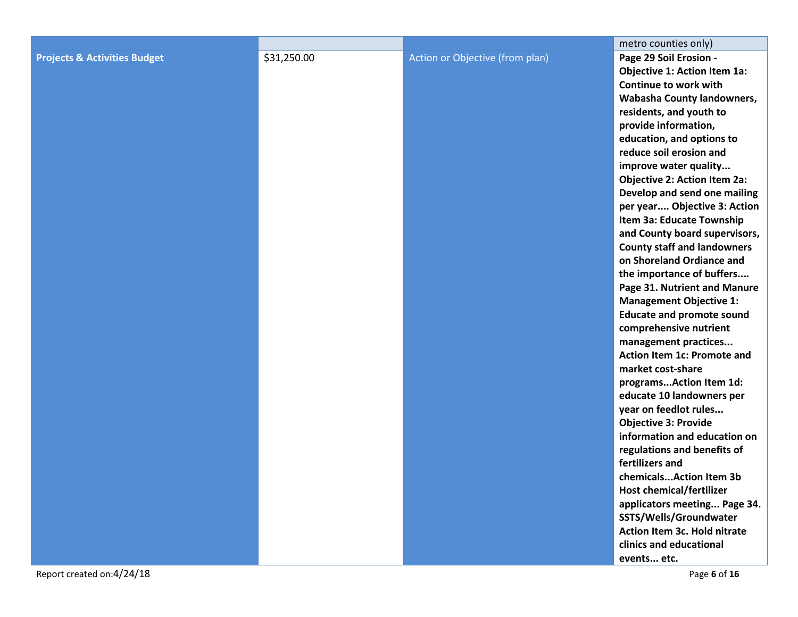|                                         |             |                                 | metro counties only)                                   |
|-----------------------------------------|-------------|---------------------------------|--------------------------------------------------------|
| <b>Projects &amp; Activities Budget</b> | \$31,250.00 | Action or Objective (from plan) | Page 29 Soil Erosion -                                 |
|                                         |             |                                 | Objective 1: Action Item 1a:                           |
|                                         |             |                                 | Continue to work with                                  |
|                                         |             |                                 | Wabasha County landowners,                             |
|                                         |             |                                 | residents, and youth to                                |
|                                         |             |                                 | provide information,                                   |
|                                         |             |                                 | education, and options to                              |
|                                         |             |                                 | reduce soil erosion and                                |
|                                         |             |                                 | improve water quality                                  |
|                                         |             |                                 | <b>Objective 2: Action Item 2a:</b>                    |
|                                         |             |                                 | Develop and send one mailing                           |
|                                         |             |                                 | per year Objective 3: Action                           |
|                                         |             |                                 | Item 3a: Educate Township                              |
|                                         |             |                                 | and County board supervisors,                          |
|                                         |             |                                 | <b>County staff and landowners</b>                     |
|                                         |             |                                 | on Shoreland Ordiance and                              |
|                                         |             |                                 | the importance of buffers                              |
|                                         |             |                                 | Page 31. Nutrient and Manure                           |
|                                         |             |                                 | <b>Management Objective 1:</b>                         |
|                                         |             |                                 | <b>Educate and promote sound</b>                       |
|                                         |             |                                 | comprehensive nutrient                                 |
|                                         |             |                                 | management practices                                   |
|                                         |             |                                 | Action Item 1c: Promote and                            |
|                                         |             |                                 | market cost-share                                      |
|                                         |             |                                 | programsAction Item 1d:                                |
|                                         |             |                                 | educate 10 landowners per                              |
|                                         |             |                                 | year on feedlot rules                                  |
|                                         |             |                                 | <b>Objective 3: Provide</b>                            |
|                                         |             |                                 | information and education on                           |
|                                         |             |                                 | regulations and benefits of<br>fertilizers and         |
|                                         |             |                                 | chemicalsAction Item 3b                                |
|                                         |             |                                 | <b>Host chemical/fertilizer</b>                        |
|                                         |             |                                 |                                                        |
|                                         |             |                                 | applicators meeting Page 34.<br>SSTS/Wells/Groundwater |
|                                         |             |                                 | Action Item 3c. Hold nitrate                           |
|                                         |             |                                 | clinics and educational                                |
|                                         |             |                                 | events etc.                                            |
|                                         |             |                                 |                                                        |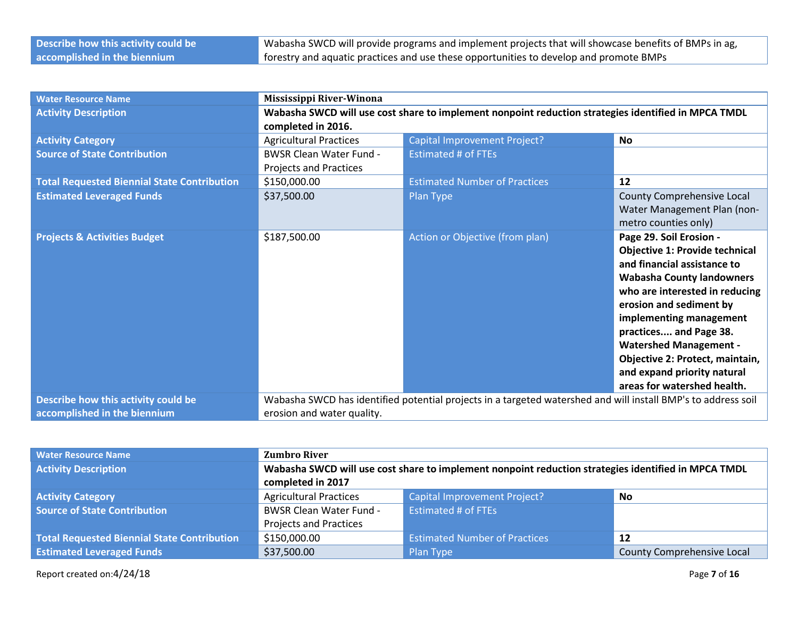| Describe how this activity could be | Wabasha SWCD will provide programs and implement projects that will showcase benefits of BMPs in ag, |
|-------------------------------------|------------------------------------------------------------------------------------------------------|
| accomplished in the biennium        | forestry and aquatic practices and use these opportunities to develop and promote BMPs               |

| <b>Water Resource Name</b>                         | Mississippi River-Winona                                                                            |                                                                                                               |                                       |
|----------------------------------------------------|-----------------------------------------------------------------------------------------------------|---------------------------------------------------------------------------------------------------------------|---------------------------------------|
| <b>Activity Description</b>                        | Wabasha SWCD will use cost share to implement nonpoint reduction strategies identified in MPCA TMDL |                                                                                                               |                                       |
|                                                    | completed in 2016.                                                                                  |                                                                                                               |                                       |
| <b>Activity Category</b>                           | <b>Agricultural Practices</b>                                                                       | <b>Capital Improvement Project?</b>                                                                           | <b>No</b>                             |
| <b>Source of State Contribution</b>                | <b>BWSR Clean Water Fund -</b>                                                                      | <b>Estimated # of FTEs</b>                                                                                    |                                       |
|                                                    | <b>Projects and Practices</b>                                                                       |                                                                                                               |                                       |
| <b>Total Requested Biennial State Contribution</b> | \$150,000.00                                                                                        | <b>Estimated Number of Practices</b>                                                                          | 12                                    |
| <b>Estimated Leveraged Funds</b>                   | \$37,500.00                                                                                         | Plan Type                                                                                                     | <b>County Comprehensive Local</b>     |
|                                                    |                                                                                                     |                                                                                                               | Water Management Plan (non-           |
|                                                    |                                                                                                     |                                                                                                               | metro counties only)                  |
| <b>Projects &amp; Activities Budget</b>            | \$187,500.00                                                                                        | Action or Objective (from plan)                                                                               | Page 29. Soil Erosion -               |
|                                                    |                                                                                                     |                                                                                                               | <b>Objective 1: Provide technical</b> |
|                                                    |                                                                                                     |                                                                                                               | and financial assistance to           |
|                                                    |                                                                                                     |                                                                                                               | <b>Wabasha County landowners</b>      |
|                                                    |                                                                                                     |                                                                                                               | who are interested in reducing        |
|                                                    |                                                                                                     |                                                                                                               | erosion and sediment by               |
|                                                    |                                                                                                     |                                                                                                               | implementing management               |
|                                                    |                                                                                                     |                                                                                                               | practices and Page 38.                |
|                                                    |                                                                                                     |                                                                                                               | <b>Watershed Management -</b>         |
|                                                    |                                                                                                     |                                                                                                               | Objective 2: Protect, maintain,       |
|                                                    |                                                                                                     |                                                                                                               | and expand priority natural           |
|                                                    |                                                                                                     |                                                                                                               | areas for watershed health.           |
| Describe how this activity could be                |                                                                                                     | Wabasha SWCD has identified potential projects in a targeted watershed and will install BMP's to address soil |                                       |
| accomplished in the biennium                       | erosion and water quality.                                                                          |                                                                                                               |                                       |

| <b>Water Resource Name</b>                         | <b>Zumbro River</b>                                                                                 |                                      |                                   |
|----------------------------------------------------|-----------------------------------------------------------------------------------------------------|--------------------------------------|-----------------------------------|
| <b>Activity Description</b>                        | Wabasha SWCD will use cost share to implement nonpoint reduction strategies identified in MPCA TMDL |                                      |                                   |
|                                                    | completed in 2017                                                                                   |                                      |                                   |
| <b>Activity Category</b>                           | <b>Agricultural Practices</b>                                                                       | <b>Capital Improvement Project?</b>  | <b>No</b>                         |
| <b>Source of State Contribution</b>                | <b>BWSR Clean Water Fund -</b>                                                                      | Estimated # of FTEs                  |                                   |
|                                                    | <b>Projects and Practices</b>                                                                       |                                      |                                   |
| <b>Total Requested Biennial State Contribution</b> | \$150,000.00                                                                                        | <b>Estimated Number of Practices</b> | 12                                |
| <b>Estimated Leveraged Funds</b>                   | \$37,500.00                                                                                         | Plan Type                            | <b>County Comprehensive Local</b> |

Report created on:4/24/18 Page **7** of **16**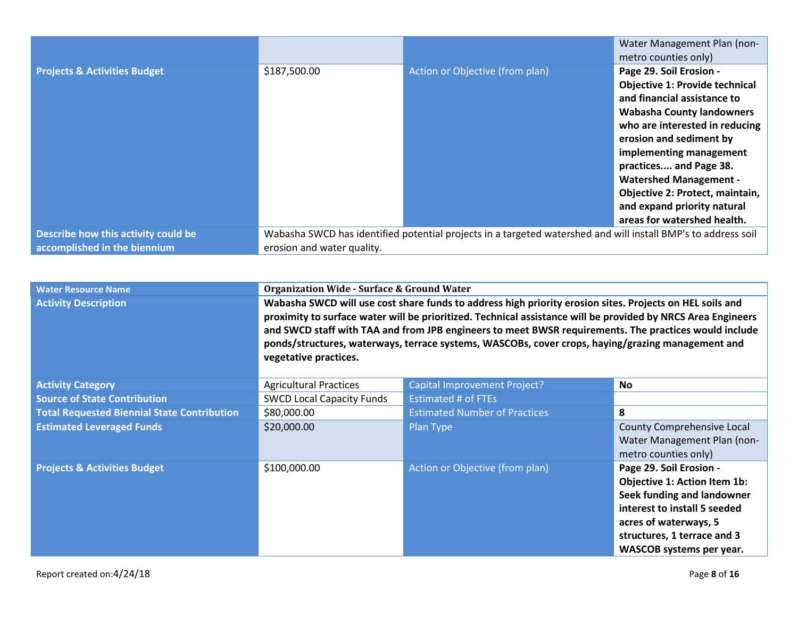|                                         |                            |                                                                                                               | Water Management Plan (non-           |
|-----------------------------------------|----------------------------|---------------------------------------------------------------------------------------------------------------|---------------------------------------|
|                                         |                            |                                                                                                               | metro counties only)                  |
| <b>Projects &amp; Activities Budget</b> | \$187,500.00               | Action or Objective (from plan)                                                                               | Page 29. Soil Erosion -               |
|                                         |                            |                                                                                                               | <b>Objective 1: Provide technical</b> |
|                                         |                            |                                                                                                               | and financial assistance to           |
|                                         |                            |                                                                                                               | <b>Wabasha County landowners</b>      |
|                                         |                            |                                                                                                               | who are interested in reducing        |
|                                         |                            |                                                                                                               | erosion and sediment by               |
|                                         |                            |                                                                                                               | implementing management               |
|                                         |                            |                                                                                                               | practices and Page 38.                |
|                                         |                            |                                                                                                               | <b>Watershed Management -</b>         |
|                                         |                            |                                                                                                               | Objective 2: Protect, maintain,       |
|                                         |                            |                                                                                                               | and expand priority natural           |
|                                         |                            |                                                                                                               | areas for watershed health.           |
| Describe how this activity could be     |                            | Wabasha SWCD has identified potential projects in a targeted watershed and will install BMP's to address soil |                                       |
| accomplished in the biennium            | erosion and water quality. |                                                                                                               |                                       |

| <b>Water Resource Name</b>                         | <b>Organization Wide - Surface &amp; Ground Water</b>                                                                                                                                                                                                                                                                                                                                                                                                           |                                        |                                                                                                                                                                                                                  |
|----------------------------------------------------|-----------------------------------------------------------------------------------------------------------------------------------------------------------------------------------------------------------------------------------------------------------------------------------------------------------------------------------------------------------------------------------------------------------------------------------------------------------------|----------------------------------------|------------------------------------------------------------------------------------------------------------------------------------------------------------------------------------------------------------------|
| <b>Activity Description</b>                        | Wabasha SWCD will use cost share funds to address high priority erosion sites. Projects on HEL soils and<br>proximity to surface water will be prioritized. Technical assistance will be provided by NRCS Area Engineers<br>and SWCD staff with TAA and from JPB engineers to meet BWSR requirements. The practices would include<br>ponds/structures, waterways, terrace systems, WASCOBs, cover crops, haying/grazing management and<br>vegetative practices. |                                        |                                                                                                                                                                                                                  |
| <b>Activity Category</b>                           | <b>Agricultural Practices</b>                                                                                                                                                                                                                                                                                                                                                                                                                                   | Capital Improvement Project?           | No.                                                                                                                                                                                                              |
| <b>Source of State Contribution</b>                | <b>SWCD Local Capacity Funds</b>                                                                                                                                                                                                                                                                                                                                                                                                                                | <b>Estimated # of FTEs</b>             |                                                                                                                                                                                                                  |
| <b>Total Requested Biennial State Contribution</b> | \$80,000.00                                                                                                                                                                                                                                                                                                                                                                                                                                                     | <b>Estimated Number of Practices</b>   | 8                                                                                                                                                                                                                |
| <b>Estimated Leveraged Funds</b>                   | \$20,000.00                                                                                                                                                                                                                                                                                                                                                                                                                                                     | Plan Type                              | County Comprehensive Local<br>Water Management Plan (non-<br>metro counties only)                                                                                                                                |
| <b>Projects &amp; Activities Budget</b>            | \$100,000.00                                                                                                                                                                                                                                                                                                                                                                                                                                                    | <b>Action or Objective (from plan)</b> | Page 29. Soil Erosion -<br><b>Objective 1: Action Item 1b:</b><br>Seek funding and landowner<br>interest to install 5 seeded<br>acres of waterways, 5<br>structures, 1 terrace and 3<br>WASCOB systems per year. |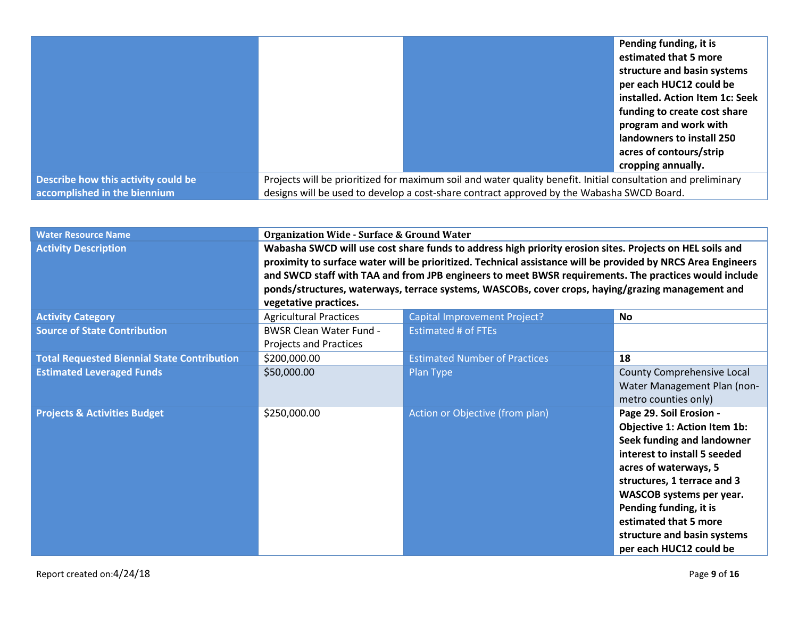|                                     |                                                                                           |                                                                                                               | Pending funding, it is          |
|-------------------------------------|-------------------------------------------------------------------------------------------|---------------------------------------------------------------------------------------------------------------|---------------------------------|
|                                     |                                                                                           |                                                                                                               | estimated that 5 more           |
|                                     |                                                                                           |                                                                                                               | structure and basin systems     |
|                                     |                                                                                           |                                                                                                               | per each HUC12 could be         |
|                                     |                                                                                           |                                                                                                               | installed. Action Item 1c: Seek |
|                                     |                                                                                           |                                                                                                               | funding to create cost share    |
|                                     |                                                                                           |                                                                                                               | program and work with           |
|                                     |                                                                                           |                                                                                                               | landowners to install 250       |
|                                     |                                                                                           |                                                                                                               | acres of contours/strip         |
|                                     |                                                                                           |                                                                                                               | cropping annually.              |
| Describe how this activity could be |                                                                                           | Projects will be prioritized for maximum soil and water quality benefit. Initial consultation and preliminary |                                 |
| accomplished in the biennium        | designs will be used to develop a cost-share contract approved by the Wabasha SWCD Board. |                                                                                                               |                                 |

| <b>Water Resource Name</b>                         | <b>Organization Wide - Surface &amp; Ground Water</b>                                                                                                                                                                                                                                                                                                                                                                                                           |                                      |                                                                                                                                                                                                                                                                                                                               |
|----------------------------------------------------|-----------------------------------------------------------------------------------------------------------------------------------------------------------------------------------------------------------------------------------------------------------------------------------------------------------------------------------------------------------------------------------------------------------------------------------------------------------------|--------------------------------------|-------------------------------------------------------------------------------------------------------------------------------------------------------------------------------------------------------------------------------------------------------------------------------------------------------------------------------|
| <b>Activity Description</b>                        | Wabasha SWCD will use cost share funds to address high priority erosion sites. Projects on HEL soils and<br>proximity to surface water will be prioritized. Technical assistance will be provided by NRCS Area Engineers<br>and SWCD staff with TAA and from JPB engineers to meet BWSR requirements. The practices would include<br>ponds/structures, waterways, terrace systems, WASCOBs, cover crops, haying/grazing management and<br>vegetative practices. |                                      |                                                                                                                                                                                                                                                                                                                               |
| <b>Activity Category</b>                           | <b>Agricultural Practices</b>                                                                                                                                                                                                                                                                                                                                                                                                                                   | Capital Improvement Project?         | <b>No</b>                                                                                                                                                                                                                                                                                                                     |
| <b>Source of State Contribution</b>                | <b>BWSR Clean Water Fund -</b><br><b>Projects and Practices</b>                                                                                                                                                                                                                                                                                                                                                                                                 | <b>Estimated # of FTEs</b>           |                                                                                                                                                                                                                                                                                                                               |
| <b>Total Requested Biennial State Contribution</b> | \$200,000.00                                                                                                                                                                                                                                                                                                                                                                                                                                                    | <b>Estimated Number of Practices</b> | 18                                                                                                                                                                                                                                                                                                                            |
| <b>Estimated Leveraged Funds</b>                   | \$50,000.00                                                                                                                                                                                                                                                                                                                                                                                                                                                     | Plan Type                            | County Comprehensive Local<br>Water Management Plan (non-<br>metro counties only)                                                                                                                                                                                                                                             |
| <b>Projects &amp; Activities Budget</b>            | \$250,000.00                                                                                                                                                                                                                                                                                                                                                                                                                                                    | Action or Objective (from plan)      | Page 29. Soil Erosion -<br><b>Objective 1: Action Item 1b:</b><br>Seek funding and landowner<br>interest to install 5 seeded<br>acres of waterways, 5<br>structures, 1 terrace and 3<br>WASCOB systems per year.<br>Pending funding, it is<br>estimated that 5 more<br>structure and basin systems<br>per each HUC12 could be |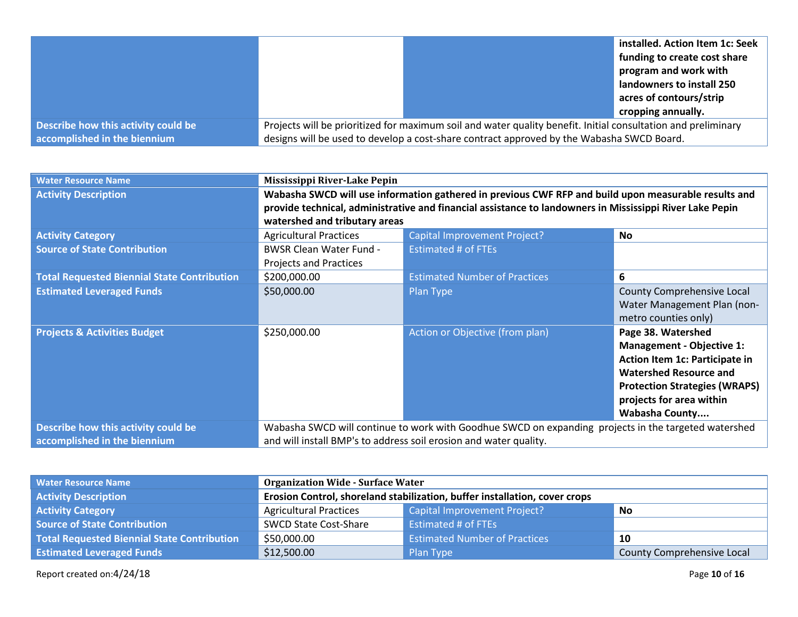|                                     |                                                                                                               | installed. Action Item 1c: Seek |
|-------------------------------------|---------------------------------------------------------------------------------------------------------------|---------------------------------|
|                                     |                                                                                                               | funding to create cost share    |
|                                     |                                                                                                               | program and work with           |
|                                     |                                                                                                               | landowners to install 250       |
|                                     |                                                                                                               | acres of contours/strip         |
|                                     |                                                                                                               | cropping annually.              |
| Describe how this activity could be | Projects will be prioritized for maximum soil and water quality benefit. Initial consultation and preliminary |                                 |
| accomplished in the biennium        | designs will be used to develop a cost-share contract approved by the Wabasha SWCD Board.                     |                                 |

| <b>Water Resource Name</b>                         | Mississippi River-Lake Pepin                                                                             |                                                                                                      |                                      |
|----------------------------------------------------|----------------------------------------------------------------------------------------------------------|------------------------------------------------------------------------------------------------------|--------------------------------------|
| <b>Activity Description</b>                        | Wabasha SWCD will use information gathered in previous CWF RFP and build upon measurable results and     |                                                                                                      |                                      |
|                                                    | provide technical, administrative and financial assistance to landowners in Mississippi River Lake Pepin |                                                                                                      |                                      |
|                                                    | watershed and tributary areas                                                                            |                                                                                                      |                                      |
| <b>Activity Category</b>                           | <b>Agricultural Practices</b>                                                                            | <b>Capital Improvement Project?</b>                                                                  | No.                                  |
| <b>Source of State Contribution</b>                | <b>BWSR Clean Water Fund -</b>                                                                           | <b>Estimated # of FTEs</b>                                                                           |                                      |
|                                                    | <b>Projects and Practices</b>                                                                            |                                                                                                      |                                      |
| <b>Total Requested Biennial State Contribution</b> | \$200,000.00                                                                                             | <b>Estimated Number of Practices</b>                                                                 | 6                                    |
| <b>Estimated Leveraged Funds</b>                   | \$50,000.00                                                                                              | Plan Type                                                                                            | County Comprehensive Local           |
|                                                    |                                                                                                          |                                                                                                      | Water Management Plan (non-          |
|                                                    |                                                                                                          |                                                                                                      | metro counties only)                 |
| <b>Projects &amp; Activities Budget</b>            | \$250,000.00                                                                                             | Action or Objective (from plan)                                                                      | Page 38. Watershed                   |
|                                                    |                                                                                                          |                                                                                                      | <b>Management - Objective 1:</b>     |
|                                                    |                                                                                                          |                                                                                                      | Action Item 1c: Participate in       |
|                                                    |                                                                                                          |                                                                                                      | <b>Watershed Resource and</b>        |
|                                                    |                                                                                                          |                                                                                                      | <b>Protection Strategies (WRAPS)</b> |
|                                                    |                                                                                                          |                                                                                                      | projects for area within             |
|                                                    |                                                                                                          |                                                                                                      | <b>Wabasha County</b>                |
| Describe how this activity could be                |                                                                                                          | Wabasha SWCD will continue to work with Goodhue SWCD on expanding projects in the targeted watershed |                                      |
| accomplished in the biennium                       | and will install BMP's to address soil erosion and water quality.                                        |                                                                                                      |                                      |

| <b>Water Resource Name</b>                         | <b>Organization Wide - Surface Water</b>                                   |                                      |                            |
|----------------------------------------------------|----------------------------------------------------------------------------|--------------------------------------|----------------------------|
| <b>Activity Description</b>                        | Erosion Control, shoreland stabilization, buffer installation, cover crops |                                      |                            |
| <b>Activity Category</b>                           | Capital Improvement Project?<br><b>Agricultural Practices</b><br><b>No</b> |                                      |                            |
| Source of State Contribution                       | <b>SWCD State Cost-Share</b>                                               | <b>Estimated # of FTEs</b>           |                            |
| <b>Total Requested Biennial State Contribution</b> | \$50,000.00                                                                | <b>Estimated Number of Practices</b> | 10                         |
| <b>Estimated Leveraged Funds</b>                   | \$12,500.00                                                                | Plan Type                            | County Comprehensive Local |

Report created on:4/24/18 Page **10** of **16**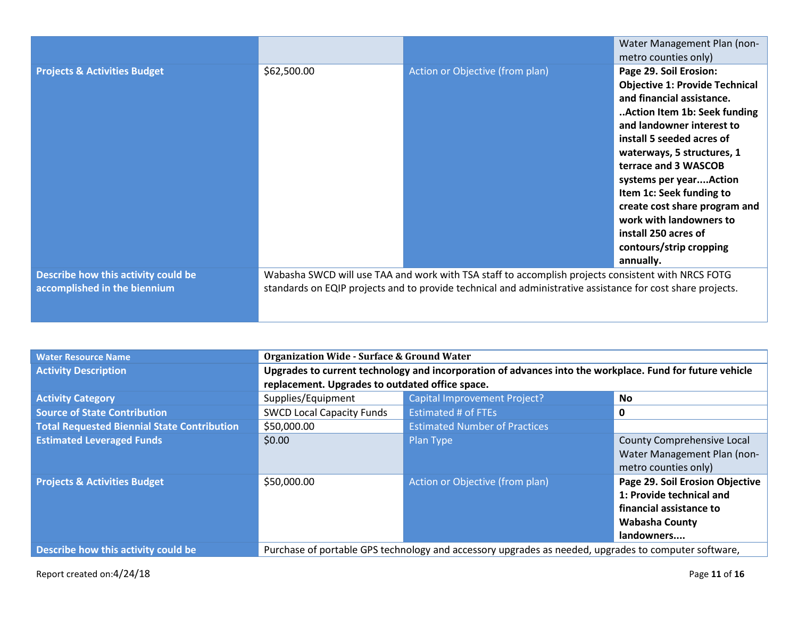|                                                                     |             |                                                                                                                                                                                                                  | Water Management Plan (non-                                                                                                                                                                                                                                       |
|---------------------------------------------------------------------|-------------|------------------------------------------------------------------------------------------------------------------------------------------------------------------------------------------------------------------|-------------------------------------------------------------------------------------------------------------------------------------------------------------------------------------------------------------------------------------------------------------------|
|                                                                     |             |                                                                                                                                                                                                                  | metro counties only)                                                                                                                                                                                                                                              |
| <b>Projects &amp; Activities Budget</b>                             | \$62,500.00 | Action or Objective (from plan)                                                                                                                                                                                  | Page 29. Soil Erosion:<br><b>Objective 1: Provide Technical</b><br>and financial assistance.<br>Action Item 1b: Seek funding<br>and landowner interest to                                                                                                         |
|                                                                     |             |                                                                                                                                                                                                                  | install 5 seeded acres of<br>waterways, 5 structures, 1<br>terrace and 3 WASCOB<br>systems per yearAction<br>Item 1c: Seek funding to<br>create cost share program and<br>work with landowners to<br>install 250 acres of<br>contours/strip cropping<br>annually. |
| Describe how this activity could be<br>accomplished in the biennium |             | Wabasha SWCD will use TAA and work with TSA staff to accomplish projects consistent with NRCS FOTG<br>standards on EQIP projects and to provide technical and administrative assistance for cost share projects. |                                                                                                                                                                                                                                                                   |

| <b>Water Resource Name</b>                         | <b>Organization Wide - Surface &amp; Ground Water</b>                                                    |                                                                                                      |                                                                                                                               |
|----------------------------------------------------|----------------------------------------------------------------------------------------------------------|------------------------------------------------------------------------------------------------------|-------------------------------------------------------------------------------------------------------------------------------|
| <b>Activity Description</b>                        | Upgrades to current technology and incorporation of advances into the workplace. Fund for future vehicle |                                                                                                      |                                                                                                                               |
|                                                    | replacement. Upgrades to outdated office space.                                                          |                                                                                                      |                                                                                                                               |
| <b>Activity Category</b>                           | Supplies/Equipment                                                                                       | <b>Capital Improvement Project?</b>                                                                  | No                                                                                                                            |
| <b>Source of State Contribution</b>                | <b>SWCD Local Capacity Funds</b>                                                                         | <b>Estimated # of FTEs</b>                                                                           | 0                                                                                                                             |
| <b>Total Requested Biennial State Contribution</b> | \$50,000.00                                                                                              | <b>Estimated Number of Practices</b>                                                                 |                                                                                                                               |
| <b>Estimated Leveraged Funds</b>                   | \$0.00                                                                                                   | Plan Type                                                                                            | County Comprehensive Local<br>Water Management Plan (non-<br>metro counties only)                                             |
| <b>Projects &amp; Activities Budget</b>            | \$50,000.00                                                                                              | Action or Objective (from plan)                                                                      | Page 29. Soil Erosion Objective<br>1: Provide technical and<br>financial assistance to<br><b>Wabasha County</b><br>landowners |
| Describe how this activity could be                |                                                                                                          | Purchase of portable GPS technology and accessory upgrades as needed, upgrades to computer software, |                                                                                                                               |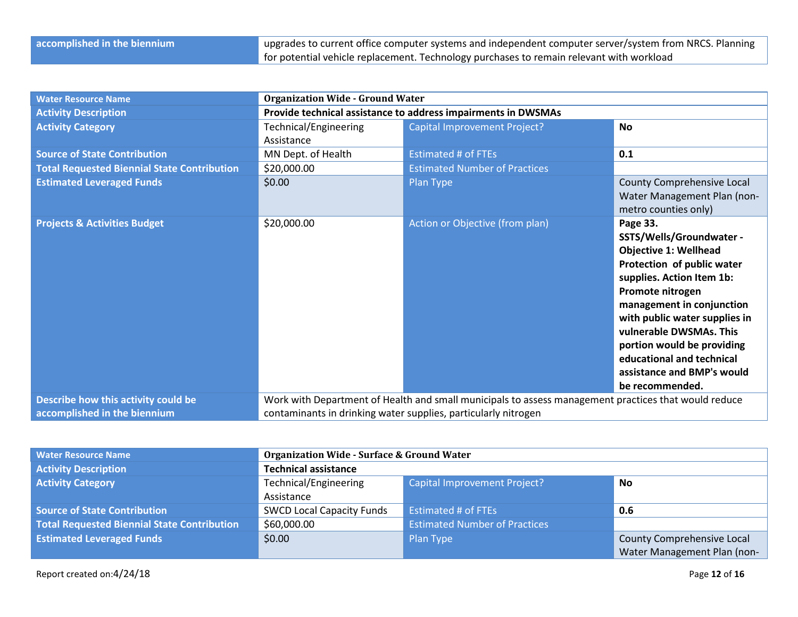| <b>Water Resource Name</b>                         | <b>Organization Wide - Ground Water</b> |                                                                                                      |                               |  |
|----------------------------------------------------|-----------------------------------------|------------------------------------------------------------------------------------------------------|-------------------------------|--|
| <b>Activity Description</b>                        |                                         | Provide technical assistance to address impairments in DWSMAs                                        |                               |  |
| <b>Activity Category</b>                           | <b>Technical/Engineering</b>            | Capital Improvement Project?                                                                         | <b>No</b>                     |  |
|                                                    | Assistance                              |                                                                                                      |                               |  |
| <b>Source of State Contribution</b>                | MN Dept. of Health                      | <b>Estimated # of FTEs</b>                                                                           | 0.1                           |  |
| <b>Total Requested Biennial State Contribution</b> | \$20,000.00                             | <b>Estimated Number of Practices</b>                                                                 |                               |  |
| <b>Estimated Leveraged Funds</b>                   | \$0.00                                  | Plan Type                                                                                            | County Comprehensive Local    |  |
|                                                    |                                         |                                                                                                      | Water Management Plan (non-   |  |
|                                                    |                                         |                                                                                                      | metro counties only)          |  |
| <b>Projects &amp; Activities Budget</b>            | \$20,000.00                             | Action or Objective (from plan)                                                                      | Page 33.                      |  |
|                                                    |                                         |                                                                                                      | SSTS/Wells/Groundwater -      |  |
|                                                    |                                         |                                                                                                      | <b>Objective 1: Wellhead</b>  |  |
|                                                    |                                         |                                                                                                      | Protection of public water    |  |
|                                                    |                                         |                                                                                                      | supplies. Action Item 1b:     |  |
|                                                    |                                         |                                                                                                      | Promote nitrogen              |  |
|                                                    |                                         |                                                                                                      | management in conjunction     |  |
|                                                    |                                         |                                                                                                      | with public water supplies in |  |
|                                                    |                                         |                                                                                                      | vulnerable DWSMAs. This       |  |
|                                                    |                                         |                                                                                                      | portion would be providing    |  |
|                                                    |                                         |                                                                                                      | educational and technical     |  |
|                                                    |                                         |                                                                                                      | assistance and BMP's would    |  |
|                                                    |                                         |                                                                                                      | be recommended.               |  |
| Describe how this activity could be                |                                         | Work with Department of Health and small municipals to assess management practices that would reduce |                               |  |
| accomplished in the biennium                       |                                         | contaminants in drinking water supplies, particularly nitrogen                                       |                               |  |

| <b>Water Resource Name</b>                         | <b>Organization Wide - Surface &amp; Ground Water</b>              |                                      |                             |
|----------------------------------------------------|--------------------------------------------------------------------|--------------------------------------|-----------------------------|
| <b>Activity Description</b>                        | <b>Technical assistance</b>                                        |                                      |                             |
| <b>Activity Category</b>                           | Technical/Engineering<br><b>Capital Improvement Project?</b><br>No |                                      |                             |
|                                                    | Assistance                                                         |                                      |                             |
| <b>Source of State Contribution</b>                | <b>SWCD Local Capacity Funds</b>                                   | <b>Estimated # of FTEs</b>           | 0.6                         |
| <b>Total Requested Biennial State Contribution</b> | \$60,000.00                                                        | <b>Estimated Number of Practices</b> |                             |
| <b>Estimated Leveraged Funds</b>                   | \$0.00<br>County Comprehensive Local<br>Plan Type                  |                                      |                             |
|                                                    |                                                                    |                                      | Water Management Plan (non- |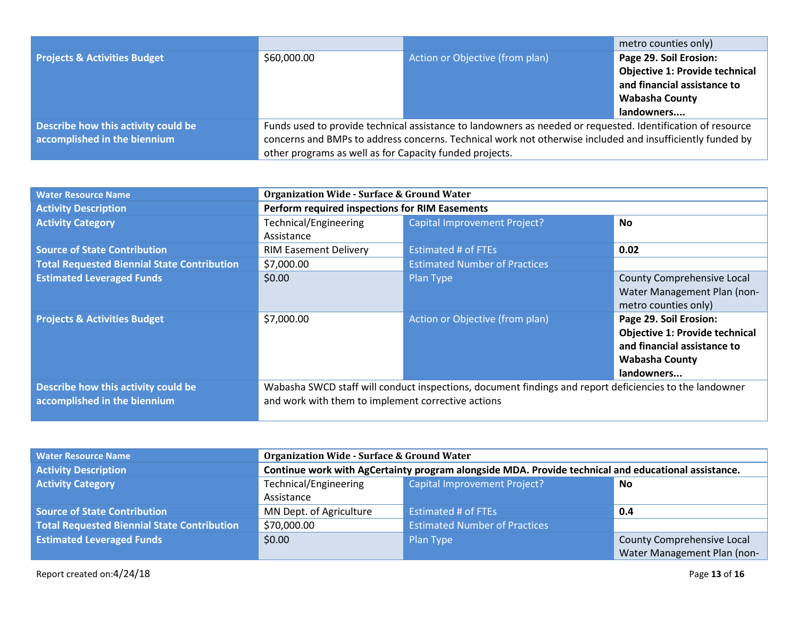|                                         |                                                                                                             |                                 | metro counties only)                  |
|-----------------------------------------|-------------------------------------------------------------------------------------------------------------|---------------------------------|---------------------------------------|
| <b>Projects &amp; Activities Budget</b> | \$60,000.00                                                                                                 | Action or Objective (from plan) | Page 29. Soil Erosion:                |
|                                         |                                                                                                             |                                 | <b>Objective 1: Provide technical</b> |
|                                         |                                                                                                             |                                 | and financial assistance to           |
|                                         |                                                                                                             |                                 | <b>Wabasha County</b>                 |
|                                         |                                                                                                             |                                 | landowners                            |
| Describe how this activity could be     | Funds used to provide technical assistance to landowners as needed or requested. Identification of resource |                                 |                                       |
| accomplished in the biennium            | concerns and BMPs to address concerns. Technical work not otherwise included and insufficiently funded by   |                                 |                                       |
|                                         | other programs as well as for Capacity funded projects.                                                     |                                 |                                       |

| <b>Water Resource Name</b>                                          | <b>Organization Wide - Surface &amp; Ground Water</b>                                                                                                         |                                      |                                                                                                                                       |
|---------------------------------------------------------------------|---------------------------------------------------------------------------------------------------------------------------------------------------------------|--------------------------------------|---------------------------------------------------------------------------------------------------------------------------------------|
| <b>Activity Description</b>                                         | Perform required inspections for RIM Easements                                                                                                                |                                      |                                                                                                                                       |
| <b>Activity Category</b>                                            | <b>Technical/Engineering</b>                                                                                                                                  | <b>Capital Improvement Project?</b>  | <b>No</b>                                                                                                                             |
|                                                                     | Assistance                                                                                                                                                    |                                      |                                                                                                                                       |
| <b>Source of State Contribution</b>                                 | <b>RIM Easement Delivery</b>                                                                                                                                  | <b>Estimated # of FTEs</b>           | 0.02                                                                                                                                  |
| <b>Total Requested Biennial State Contribution</b>                  | \$7,000.00                                                                                                                                                    | <b>Estimated Number of Practices</b> |                                                                                                                                       |
| <b>Estimated Leveraged Funds</b>                                    | \$0.00                                                                                                                                                        | Plan Type                            | <b>County Comprehensive Local</b><br>Water Management Plan (non-<br>metro counties only)                                              |
| <b>Projects &amp; Activities Budget</b>                             | \$7,000.00                                                                                                                                                    | Action or Objective (from plan)      | Page 29. Soil Erosion:<br><b>Objective 1: Provide technical</b><br>and financial assistance to<br><b>Wabasha County</b><br>landowners |
| Describe how this activity could be<br>accomplished in the biennium | Wabasha SWCD staff will conduct inspections, document findings and report deficiencies to the landowner<br>and work with them to implement corrective actions |                                      |                                                                                                                                       |

| <b>Water Resource Name</b>                  | <b>Organization Wide - Surface &amp; Ground Water</b>                                               |                                      |                             |  |
|---------------------------------------------|-----------------------------------------------------------------------------------------------------|--------------------------------------|-----------------------------|--|
| <b>Activity Description</b>                 | Continue work with AgCertainty program alongside MDA. Provide technical and educational assistance. |                                      |                             |  |
| <b>Activity Category</b>                    | Technical/Engineering<br><b>Capital Improvement Project?</b><br>No                                  |                                      |                             |  |
|                                             | Assistance                                                                                          |                                      |                             |  |
| <b>Source of State Contribution</b>         | MN Dept. of Agriculture                                                                             | Estimated # of FTEs                  | 0.4                         |  |
| Total Requested Biennial State Contribution | \$70,000.00                                                                                         | <b>Estimated Number of Practices</b> |                             |  |
| <b>Estimated Leveraged Funds</b>            | \$0.00<br>County Comprehensive Local<br>Plan Type                                                   |                                      |                             |  |
|                                             |                                                                                                     |                                      | Water Management Plan (non- |  |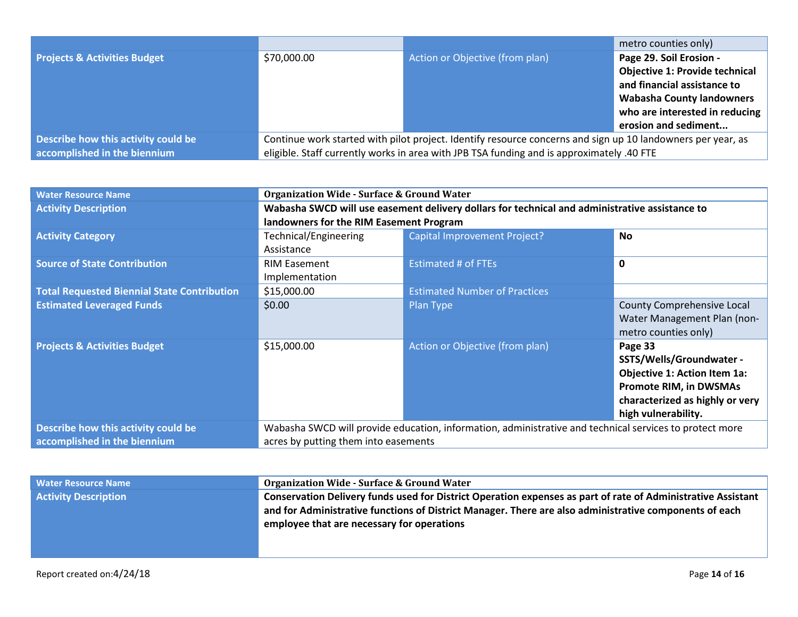|                                         |                                                                                                             |                                                                                           | metro counties only)                  |
|-----------------------------------------|-------------------------------------------------------------------------------------------------------------|-------------------------------------------------------------------------------------------|---------------------------------------|
| <b>Projects &amp; Activities Budget</b> | \$70,000.00                                                                                                 | Action or Objective (from plan)                                                           | Page 29. Soil Erosion -               |
|                                         |                                                                                                             |                                                                                           | <b>Objective 1: Provide technical</b> |
|                                         |                                                                                                             |                                                                                           | and financial assistance to           |
|                                         |                                                                                                             |                                                                                           | <b>Wabasha County landowners</b>      |
|                                         |                                                                                                             |                                                                                           | who are interested in reducing        |
|                                         |                                                                                                             |                                                                                           | erosion and sediment                  |
| Describe how this activity could be     | Continue work started with pilot project. Identify resource concerns and sign up 10 landowners per year, as |                                                                                           |                                       |
| accomplished in the biennium            |                                                                                                             | eligible. Staff currently works in area with JPB TSA funding and is approximately .40 FTE |                                       |

| <b>Water Resource Name</b>                         | <b>Organization Wide - Surface &amp; Ground Water</b> |                                                                                                         |                                     |  |
|----------------------------------------------------|-------------------------------------------------------|---------------------------------------------------------------------------------------------------------|-------------------------------------|--|
| <b>Activity Description</b>                        |                                                       | Wabasha SWCD will use easement delivery dollars for technical and administrative assistance to          |                                     |  |
|                                                    | landowners for the RIM Easement Program               |                                                                                                         |                                     |  |
| <b>Activity Category</b>                           | Technical/Engineering                                 | <b>Capital Improvement Project?</b>                                                                     | <b>No</b>                           |  |
|                                                    | Assistance                                            |                                                                                                         |                                     |  |
| <b>Source of State Contribution</b>                | <b>RIM Easement</b>                                   | <b>Estimated # of FTEs</b>                                                                              | $\mathbf 0$                         |  |
|                                                    | Implementation                                        |                                                                                                         |                                     |  |
| <b>Total Requested Biennial State Contribution</b> | \$15,000.00                                           | <b>Estimated Number of Practices</b>                                                                    |                                     |  |
| <b>Estimated Leveraged Funds</b>                   | \$0.00                                                | Plan Type                                                                                               | County Comprehensive Local          |  |
|                                                    |                                                       |                                                                                                         | Water Management Plan (non-         |  |
|                                                    |                                                       |                                                                                                         | metro counties only)                |  |
| <b>Projects &amp; Activities Budget</b>            | \$15,000.00                                           | Action or Objective (from plan)                                                                         | Page 33                             |  |
|                                                    |                                                       |                                                                                                         | SSTS/Wells/Groundwater -            |  |
|                                                    |                                                       |                                                                                                         | <b>Objective 1: Action Item 1a:</b> |  |
|                                                    |                                                       |                                                                                                         | <b>Promote RIM, in DWSMAs</b>       |  |
|                                                    |                                                       |                                                                                                         | characterized as highly or very     |  |
|                                                    |                                                       |                                                                                                         | high vulnerability.                 |  |
| Describe how this activity could be                |                                                       | Wabasha SWCD will provide education, information, administrative and technical services to protect more |                                     |  |
| accomplished in the biennium                       | acres by putting them into easements                  |                                                                                                         |                                     |  |

| <b>Water Resource Name</b>  | <b>Organization Wide - Surface &amp; Ground Water</b>                                                                                                                                                                                                                |
|-----------------------------|----------------------------------------------------------------------------------------------------------------------------------------------------------------------------------------------------------------------------------------------------------------------|
| <b>Activity Description</b> | Conservation Delivery funds used for District Operation expenses as part of rate of Administrative Assistant<br>and for Administrative functions of District Manager. There are also administrative components of each<br>employee that are necessary for operations |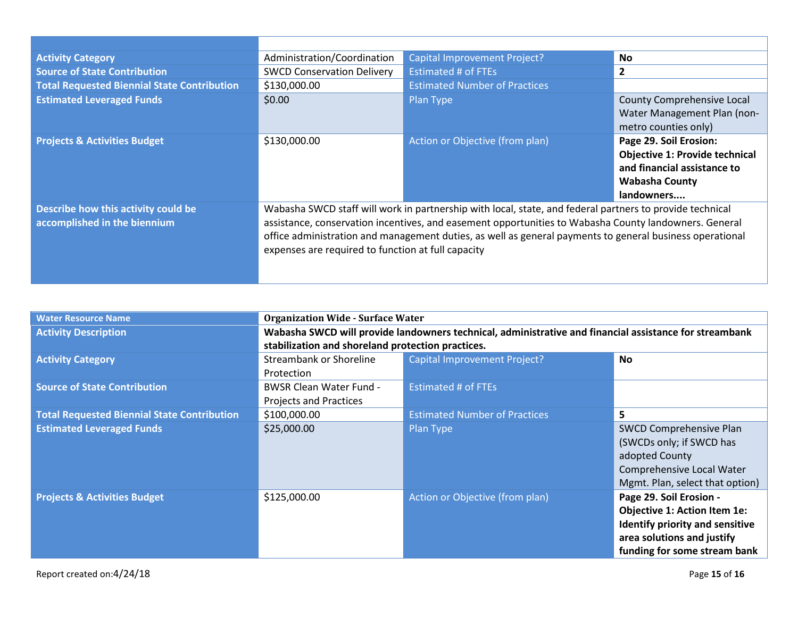| <b>Activity Category</b>                                            | Administration/Coordination                                                                                                                                                                                                                                                                                                                                                         | <b>Capital Improvement Project?</b>    | <b>No</b>                                                                                                                             |
|---------------------------------------------------------------------|-------------------------------------------------------------------------------------------------------------------------------------------------------------------------------------------------------------------------------------------------------------------------------------------------------------------------------------------------------------------------------------|----------------------------------------|---------------------------------------------------------------------------------------------------------------------------------------|
| <b>Source of State Contribution</b>                                 | <b>SWCD Conservation Delivery</b>                                                                                                                                                                                                                                                                                                                                                   | <b>Estimated # of FTEs</b>             | $\mathbf{2}$                                                                                                                          |
| <b>Total Requested Biennial State Contribution</b>                  | \$130,000.00                                                                                                                                                                                                                                                                                                                                                                        | <b>Estimated Number of Practices</b>   |                                                                                                                                       |
| <b>Estimated Leveraged Funds</b>                                    | \$0.00                                                                                                                                                                                                                                                                                                                                                                              | Plan Type                              | County Comprehensive Local<br>Water Management Plan (non-<br>metro counties only)                                                     |
| <b>Projects &amp; Activities Budget</b>                             | \$130,000.00                                                                                                                                                                                                                                                                                                                                                                        | <b>Action or Objective (from plan)</b> | Page 29. Soil Erosion:<br><b>Objective 1: Provide technical</b><br>and financial assistance to<br><b>Wabasha County</b><br>landowners |
| Describe how this activity could be<br>accomplished in the biennium | Wabasha SWCD staff will work in partnership with local, state, and federal partners to provide technical<br>assistance, conservation incentives, and easement opportunities to Wabasha County landowners. General<br>office administration and management duties, as well as general payments to general business operational<br>expenses are required to function at full capacity |                                        |                                                                                                                                       |

| <b>Water Resource Name</b>                         | <b>Organization Wide - Surface Water</b>                                                               |                                      |                                     |  |
|----------------------------------------------------|--------------------------------------------------------------------------------------------------------|--------------------------------------|-------------------------------------|--|
| <b>Activity Description</b>                        | Wabasha SWCD will provide landowners technical, administrative and financial assistance for streambank |                                      |                                     |  |
|                                                    | stabilization and shoreland protection practices.                                                      |                                      |                                     |  |
| <b>Activity Category</b>                           | <b>Streambank or Shoreline</b>                                                                         | <b>Capital Improvement Project?</b>  | <b>No</b>                           |  |
|                                                    | Protection                                                                                             |                                      |                                     |  |
| <b>Source of State Contribution</b>                | <b>BWSR Clean Water Fund -</b>                                                                         | <b>Estimated # of FTEs</b>           |                                     |  |
|                                                    | <b>Projects and Practices</b>                                                                          |                                      |                                     |  |
| <b>Total Requested Biennial State Contribution</b> | \$100,000.00                                                                                           | <b>Estimated Number of Practices</b> | 5                                   |  |
| <b>Estimated Leveraged Funds</b>                   | \$25,000.00                                                                                            | Plan Type                            | SWCD Comprehensive Plan             |  |
|                                                    |                                                                                                        |                                      | (SWCDs only; if SWCD has            |  |
|                                                    |                                                                                                        |                                      | adopted County                      |  |
|                                                    |                                                                                                        |                                      | Comprehensive Local Water           |  |
|                                                    |                                                                                                        |                                      | Mgmt. Plan, select that option)     |  |
| <b>Projects &amp; Activities Budget</b>            | \$125,000.00                                                                                           | Action or Objective (from plan)      | Page 29. Soil Erosion -             |  |
|                                                    |                                                                                                        |                                      | <b>Objective 1: Action Item 1e:</b> |  |
|                                                    |                                                                                                        |                                      | Identify priority and sensitive     |  |
|                                                    |                                                                                                        |                                      | area solutions and justify          |  |
|                                                    |                                                                                                        |                                      | funding for some stream bank        |  |